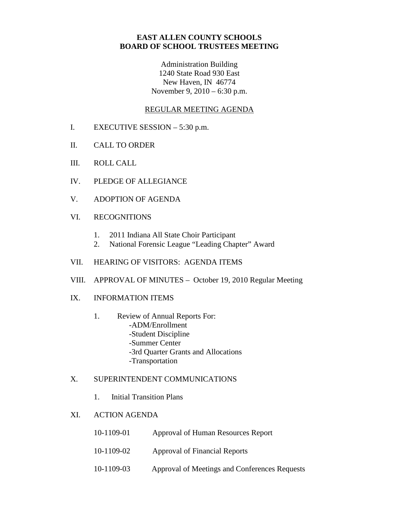# **EAST ALLEN COUNTY SCHOOLS BOARD OF SCHOOL TRUSTEES MEETING**

Administration Building 1240 State Road 930 East New Haven, IN 46774 November 9, 2010 – 6:30 p.m.

## REGULAR MEETING AGENDA

- I. EXECUTIVE SESSION 5:30 p.m.
- II. CALL TO ORDER
- III. ROLL CALL
- IV. PLEDGE OF ALLEGIANCE
- V. ADOPTION OF AGENDA
- VI. RECOGNITIONS
	- 1. 2011 Indiana All State Choir Participant
	- 2. National Forensic League "Leading Chapter" Award
- VII. HEARING OF VISITORS: AGENDA ITEMS
- VIII. APPROVAL OF MINUTES October 19, 2010 Regular Meeting
- IX. INFORMATION ITEMS
	- 1. Review of Annual Reports For: -ADM/Enrollment -Student Discipline -Summer Center -3rd Quarter Grants and Allocations -Transportation

#### X. SUPERINTENDENT COMMUNICATIONS

1. Initial Transition Plans

## XI. ACTION AGENDA

- 10-1109-01 Approval of Human Resources Report
- 10-1109-02 Approval of Financial Reports
- 10-1109-03 Approval of Meetings and Conferences Requests